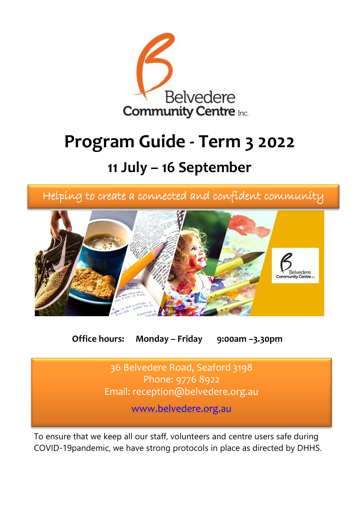

# **Program Guide - Term 3 2022**

# **11 July – 16 September**

Helping to create a connected and confident community



**Office hours: Monday – Friday 9:00am –3.30pm** 

36 Belvedere Road, Seaford 3198 Phone: 9776 8922 Email: [reception@belvedere.org.au](mailto:reception@belvedere.org.au) 

[www.belvedere.org.au](http://www.belvedere.org.au/)

To ensure that we keep all our staff, volunteers and centre users safe during COVID-19pandemic, we have strong protocols in place as directed by DHHS.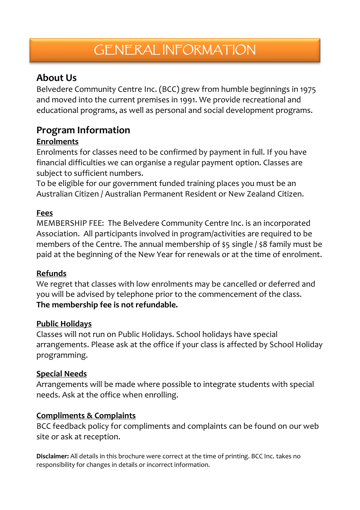# GENERAL INFORMATION

#### **About Us**

Belvedere Community Centre Inc. (BCC) grew from humble beginnings in 1975 and moved into the current premises in 1991. We provide recreational and educational programs, as well as personal and social development programs.

#### **Program Information Enrolments**

Enrolments for classes need to be confirmed by payment in full. If you have financial difficulties we can organise a regular payment option. Classes are subject to sufficient numbers.

To be eligible for our government funded training places you must be an Australian Citizen / Australian Permanent Resident or New Zealand Citizen.

#### **Fees**

MEMBERSHIP FEE: The Belvedere Community Centre Inc. is an incorporated Association. All participants involved in program/activities are required to be members of the Centre. The annual membership of \$5 single / \$8 family must be paid at the beginning of the New Year for renewals or at the time of enrolment.

#### **Refunds**

We regret that classes with low enrolments may be cancelled or deferred and you will be advised by telephone prior to the commencement of the class. **The membership fee is not refundable.**

#### **Public Holidays**

Classes will not run on Public Holidays. School holidays have special arrangements. Please ask at the office if your class is affected by School Holiday programming.

#### **Special Needs**

Arrangements will be made where possible to integrate students with special needs. Ask at the office when enrolling.

#### **Compliments & Complaints**

BCC feedback policy for compliments and complaints can be found on our web site or ask at reception.

**Disclaimer:** All details in this brochure were correct at the time of printing. BCC Inc. takes no responsibility for changes in details or incorrect information.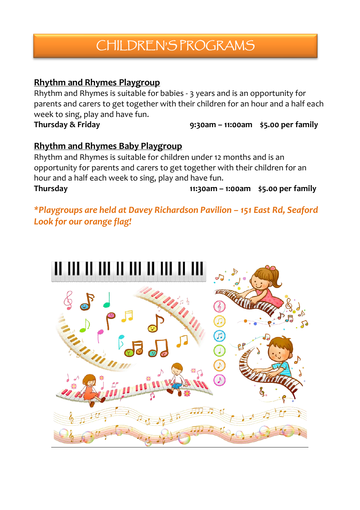# **CHILDREN'S PROGRAMS** CHILDREN'S PROGRAMS

#### **Rhythm and Rhymes Playgroup**

Rhythm and Rhymes is suitable for babies - 3 years and is an opportunity for parents and carers to get together with their children for an hour and a half each week to sing, play and have fun.<br>Thursdav & Fridav

**Thursday & Friday 9:30am – 11:00am \$5.00 per family**

#### **Rhythm and Rhymes Baby Playgroup**

Rhythm and Rhymes is suitable for children under 12 months and is an opportunity for parents and carers to get together with their children for an hour and a half each week to sing, play and have fun. **Thursday 11:30am – 1:00am \$5.00 per family**

*\*Playgroups are held at Davey Richardson Pavilion – 151 East Rd, Seaford Look for our orange flag!*

# <u> 11 111 11 111 11 111 11 111 11 111</u>  $\bigcap_{i=1}^n$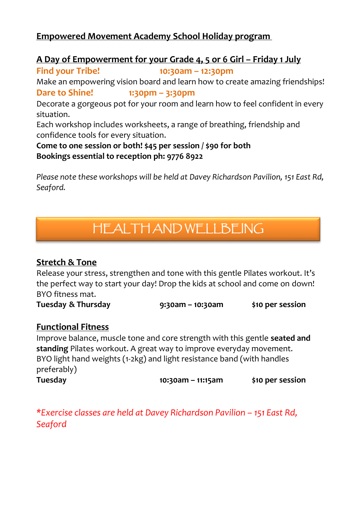#### **Empowered Movement Academy School Holiday program**

#### **A Day of Empowerment for your Grade 4, 5 or 6 Girl – Friday 1 July Find your Tribe! 10:30am – 12:30pm** Make an empowering vision board and learn how to create amazing friendships! **Dare to Shine! 1:30pm – 3:30pm** Decorate a gorgeous pot for your room and learn how to feel confident in every situation. Each workshop includes worksheets, a range of breathing, friendship and confidence tools for every situation. **Come to one session or both! \$45 per session / \$90 for both Bookings essential to reception ph: 9776 8922**

*Please note these workshops will be held at Davey Richardson Pavilion, 151 East Rd, Seaford.* 

## HEALTH AND WELLBEING

#### **Stretch & Tone**

Release your stress, strengthen and tone with this gentle Pilates workout. It's the perfect way to start your day! Drop the kids at school and come on down! BYO fitness mat.

**Tuesday & Thursday 9:30am – 10:30am \$10 per session**

#### **Functional Fitness**

Improve balance, muscle tone and core strength with this gentle **seated and standing** Pilates workout. A great way to improve everyday movement. BYO light hand weights (1-2kg) and light resistance band (with handles preferably) **Tuesday 10:30am – 11:15am \$10 per session**

*\*Exercise classes are held at Davey Richardson Pavilion – 151 East Rd, Seaford*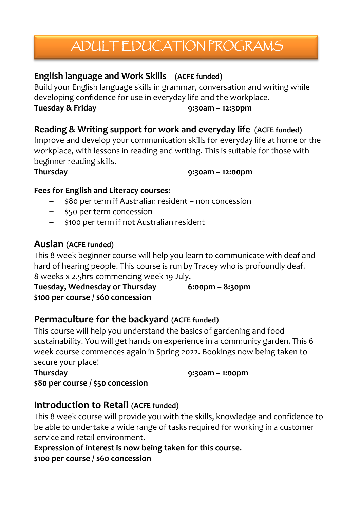# ADULT EDUCATION PROGRAMS

#### **English language and Work Skills (ACFE funded)**

Build your English language skills in grammar, conversation and writing while developing confidence for use in everyday life and the workplace. **Tuesday & Friday 9:30am – 12:30pm**

#### **Reading & Writing support for work and everyday life** (**ACFE funded)**

Improve and develop your communication skills for everyday life at home or the workplace, with lessons in reading and writing. This is suitable for those with beginner reading skills.

#### **Thursday 9:30am – 12:00pm**

#### **Fees for English and Literacy courses:**

- \$80 per term if Australian resident non concession
- \$50 per term concession
- \$100 per term if not Australian resident

#### **Auslan (ACFE funded)**

This 8 week beginner course will help you learn to communicate with deaf and hard of hearing people. This course is run by Tracey who is profoundly deaf. 8 weeks x 2.5hrs commencing week 19 July.

**Tuesday, Wednesday or Thursday 6:00pm – 8:30pm \$100 per course / \$60 concession**

#### **Permaculture for the backyard (ACFE funded)**

This course will help you understand the basics of gardening and food sustainability. You will get hands on experience in a community garden. This 6 week course commences again in Spring 2022. Bookings now being taken to secure your place!

**Thursday 9:30am – 1:00pm \$80 per course / \$50 concession**

#### **Introduction to Retail (ACFE funded)**

This 8 week course will provide you with the skills, knowledge and confidence to be able to undertake a wide range of tasks required for working in a customer service and retail environment.

**Expression of interest is now being taken for this course. \$100 per course / \$60 concession**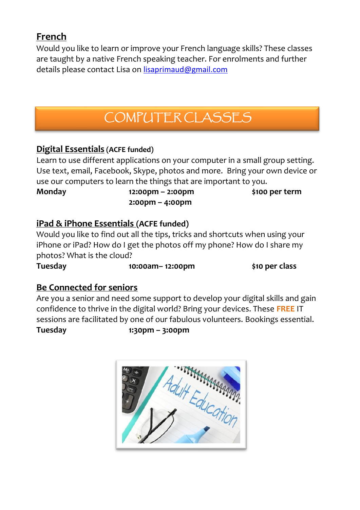#### **French**

Would you like to learn or improve your French language skills? These classes are taught by a native French speaking teacher. For enrolments and further details please contact Lisa on [lisaprimaud@gmail.com](mailto:lisaprimaud@gmail.com)

# COMPUTER CLASSES

#### **Digital Essentials (ACFE funded)**

Learn to use different applications on your computer in a small group setting. Use text, email, Facebook, Skype, photos and more. Bring your own device or use our computers to learn the things that are important to you.

**Monday 12:00pm – 2:00pm \$100 per term 2:00pm – 4:00pm**

#### **iPad & iPhone Essentials (ACFE funded)**

Would you like to find out all the tips, tricks and shortcuts when using your iPhone or iPad? How do I get the photos off my phone? How do I share my photos? What is the cloud?

**Tuesday 10:00am– 12:00pm \$10 per class**

#### **Be Connected for seniors**

Are you a senior and need some support to develop your digital skills and gain confidence to thrive in the digital world? Bring your devices. These **FREE** IT sessions are facilitated by one of our fabulous volunteers. Bookings essential.

**Tuesday 1:30pm – 3:00pm**

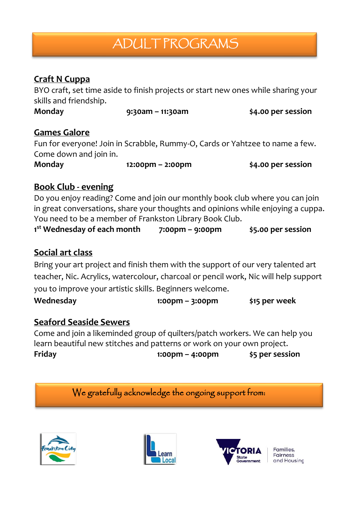### ADULT PROGRAMS

#### **Craft N Cuppa**

BYO craft, set time aside to finish projects or start new ones while sharing your skills and friendship.

**Monday 9:30am – 11:30am \$4.00 per session**

#### **Games Galore**

Fun for everyone! Join in Scrabble, Rummy-O, Cards or Yahtzee to name a few. Come down and join in.

**Monday 12:00pm – 2:00pm \$4.00 per session**

#### **Book Club - evening**

Do you enjoy reading? Come and join our monthly book club where you can join in great conversations, share your thoughts and opinions while enjoying a cuppa. You need to be a member of Frankston Library Book Club.

**1 st Wednesday of each month 7:00pm – 9:00pm \$5.00 per session** 

#### **Social art class**

Bring your art project and finish them with the support of our very talented art teacher, Nic. Acrylics, watercolour, charcoal or pencil work, Nic will help support you to improve your artistic skills. Beginners welcome.

**Wednesday 1:00pm – 3:00pm \$15 per week**

#### **Seaford Seaside Sewers**

Come and join a likeminded group of quilters/patch workers. We can help you learn beautiful new stitches and patterns or work on your own project. **Friday 1:00pm – 4:00pm \$5 per session**

We gratefully acknowledge the ongoing support from:







**Eamilies** Fairness and Housing